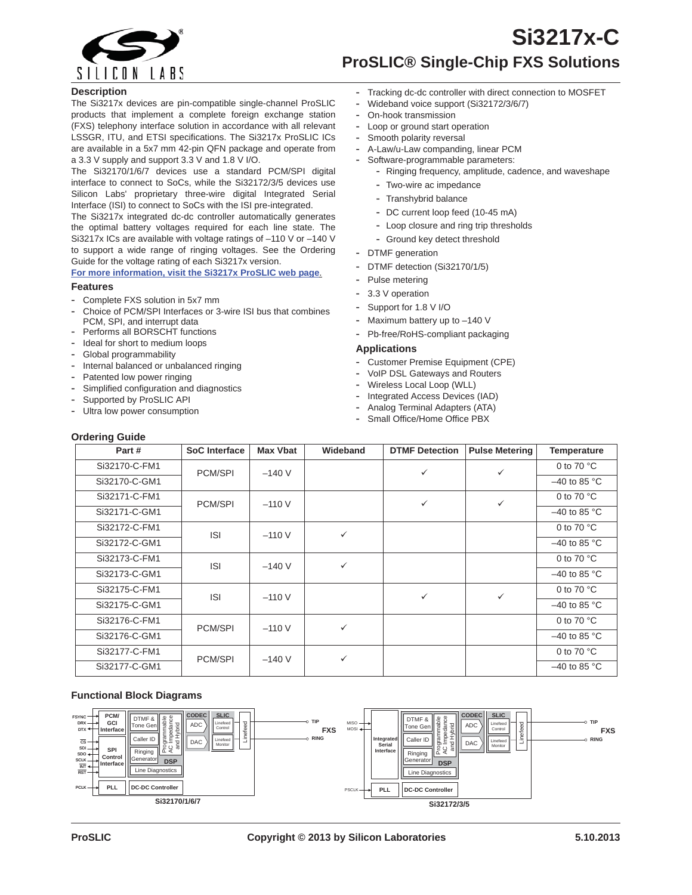

# **Si3217x-C ProSLIC® Single-Chip FXS Solutions**

#### **Description**

The Si3217x devices are pin-compatible single-channel ProSLIC products that implement a complete foreign exchange station (FXS) telephony interface solution in accordance with all relevant LSSGR, ITU, and ETSI specifications. The Si3217x ProSLIC ICs are available in a 5x7 mm 42-pin QFN package and operate from a 3.3 V supply and support 3.3 V and 1.8 V I/O.

The Si32170/1/6/7 devices use a standard PCM/SPI digital interface to connect to SoCs, while the Si32172/3/5 devices use Silicon Labs' proprietary three-wire digital Integrated Serial Interface (ISI) to connect to SoCs with the ISI pre-integrated.

The Si3217x integrated dc-dc controller automatically generates the optimal battery voltages required for each line state. The Si3217x ICs are available with voltage ratings of –110 V or –140 V to support a wide range of ringing voltages. See the Ordering Guide for the voltage rating of each Si3217x version.

**For more information, visit the Si3217x ProSLIC web page**.

#### **Features**

- **-** Complete FXS solution in 5x7 mm
- **-** Choice of PCM/SPI Interfaces or 3-wire ISI bus that combines PCM, SPI, and interrupt data
- **-** Performs all BORSCHT functions **-** Ideal for short to medium loops
- **-** Global programmability
- **-** Internal balanced or unbalanced ringing
- Patented low power ringing
- **-** Simplified configuration and diagnostics
- **-** Supported by ProSLIC API
- **-** Ultra low power consumption
- **-** Tracking dc-dc controller with direct connection to MOSFET
- **-** Wideband voice support (Si32172/3/6/7)
- **-** On-hook transmission
- **-** Loop or ground start operation
- **-** Smooth polarity reversal
- **-** A-Law/u-Law companding, linear PCM
- **-** Software-programmable parameters:
	- **-** Ringing frequency, amplitude, cadence, and waveshape
	- **-** Two-wire ac impedance
	- **-** Transhybrid balance
	- **-** DC current loop feed (10-45 mA)
	- **-** Loop closure and ring trip thresholds
	- **-** Ground key detect threshold
- **-** DTMF generation
- **-** DTMF detection (Si32170/1/5)
- **-** Pulse metering
- **-** 3.3 V operation
- **-** Support for 1.8 V I/O
- **-** Maximum battery up to –140 V
- **-** Pb-free/RoHS-compliant packaging

#### **Applications**

- **-** Customer Premise Equipment (CPE)
- **-** VoIP DSL Gateways and Routers
- **-** Wireless Local Loop (WLL)
- **-** Integrated Access Devices (IAD)
- **-** Analog Terminal Adapters (ATA)
- **-** Small Office/Home Office PBX

| <b>Ordering Guide</b> |               |                 |              |                       |                       |                      |  |
|-----------------------|---------------|-----------------|--------------|-----------------------|-----------------------|----------------------|--|
| Part#                 | SoC Interface | <b>Max Vbat</b> | Wideband     | <b>DTMF Detection</b> | <b>Pulse Metering</b> | <b>Temperature</b>   |  |
| Si32170-C-FM1         | PCM/SPI       | $-140V$         |              | $\checkmark$          | ✓                     | 0 to 70 $^{\circ}$ C |  |
| Si32170-C-GM1         |               |                 |              |                       |                       | $-40$ to 85 °C       |  |
| Si32171-C-FM1         | PCM/SPI       | $-110V$         |              | ✓                     | ✓                     | 0 to 70 $^{\circ}$ C |  |
| Si32171-C-GM1         |               |                 |              |                       |                       | $-40$ to 85 °C       |  |
| Si32172-C-FM1         | <b>ISI</b>    | $-110V$         | ✓            |                       |                       | 0 to 70 $^{\circ}$ C |  |
| Si32172-C-GM1         |               |                 |              |                       |                       | $-40$ to 85 °C       |  |
| Si32173-C-FM1         | <b>ISI</b>    | $-140V$         | $\checkmark$ |                       |                       | 0 to 70 $^{\circ}$ C |  |
| Si32173-C-GM1         |               |                 |              |                       |                       | $-40$ to 85 °C       |  |
| Si32175-C-FM1         | <b>ISI</b>    | $-110V$         |              | ✓                     | $\checkmark$          | 0 to 70 $^{\circ}$ C |  |
| Si32175-C-GM1         |               |                 |              |                       |                       | $-40$ to 85 °C       |  |
| Si32176-C-FM1         | PCM/SPI       | $-110V$         | ✓            |                       |                       | 0 to 70 $^{\circ}$ C |  |
| Si32176-C-GM1         |               |                 |              |                       |                       | $-40$ to 85 °C       |  |
| Si32177-C-FM1         | PCM/SPI       | $-140V$         | ✓            |                       |                       | 0 to 70 $^{\circ}$ C |  |
| Si32177-C-GM1         |               |                 |              |                       |                       | $-40$ to 85 °C       |  |

#### **Functional Block Diagrams**